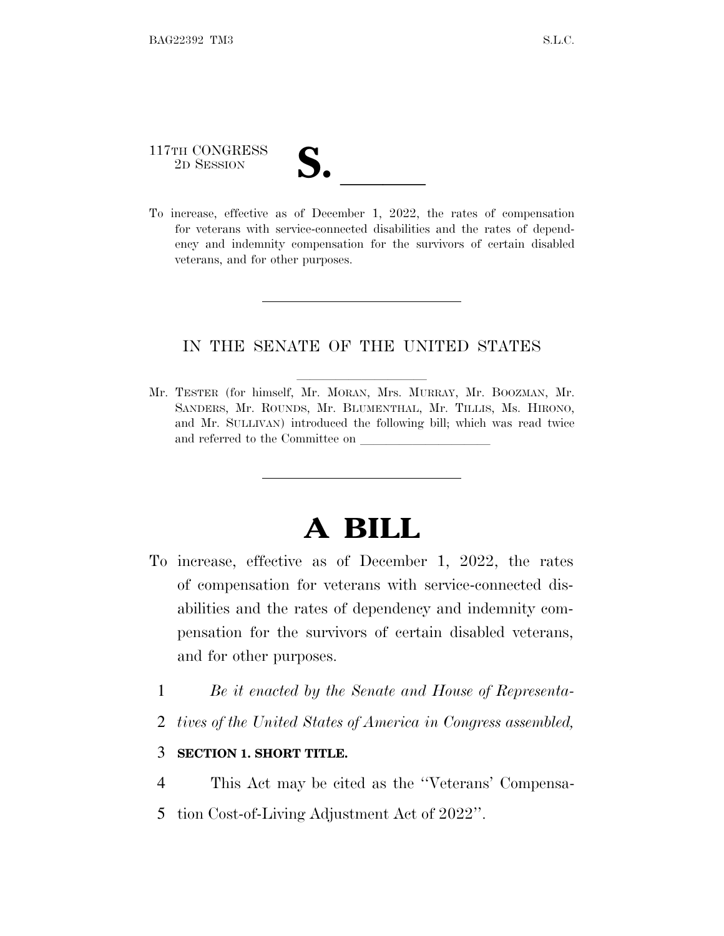# 117TH CONGRESS 117TH CONGRESS<br>
2D SESSION<br>
To increase, effective as of December 1, 2022, the rates of compensation

for veterans with service-connected disabilities and the rates of dependency and indemnity compensation for the survivors of certain disabled veterans, and for other purposes.

#### IN THE SENATE OF THE UNITED STATES

Mr. TESTER (for himself, Mr. MORAN, Mrs. MURRAY, Mr. BOOZMAN, Mr. SANDERS, Mr. ROUNDS, Mr. BLUMENTHAL, Mr. TILLIS, Ms. HIRONO, and Mr. SULLIVAN) introduced the following bill; which was read twice and referred to the Committee on

## **A BILL**

- To increase, effective as of December 1, 2022, the rates of compensation for veterans with service-connected disabilities and the rates of dependency and indemnity compensation for the survivors of certain disabled veterans, and for other purposes.
	- 1 *Be it enacted by the Senate and House of Representa-*
	- 2 *tives of the United States of America in Congress assembled,*

#### 3 **SECTION 1. SHORT TITLE.**

- 4 This Act may be cited as the ''Veterans' Compensa-
- 5 tion Cost-of-Living Adjustment Act of 2022''.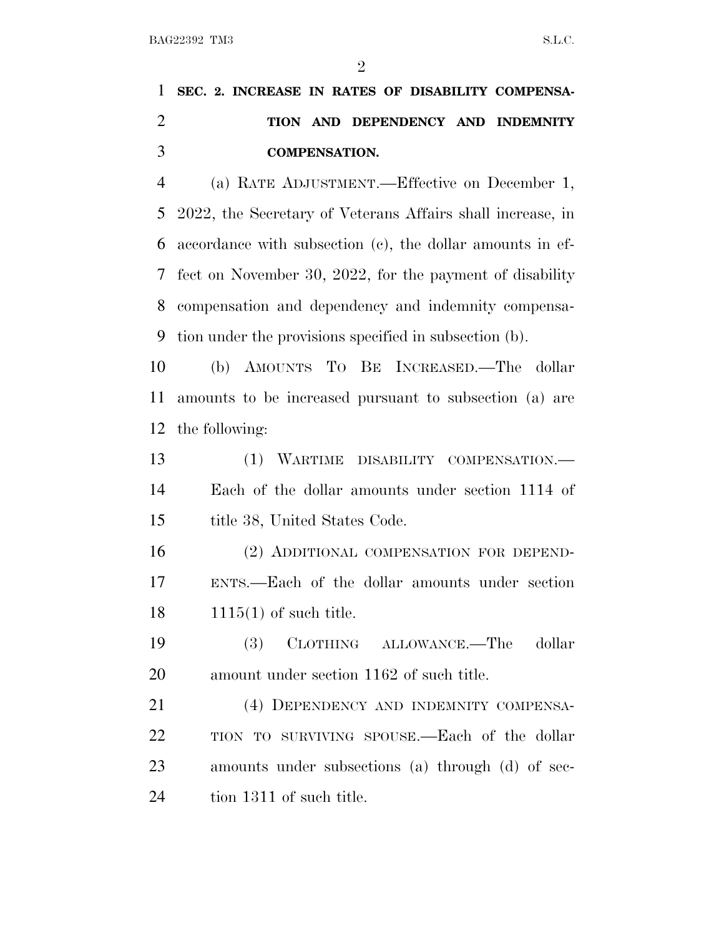$\mathfrak{D}$ 

### **SEC. 2. INCREASE IN RATES OF DISABILITY COMPENSA- TION AND DEPENDENCY AND INDEMNITY COMPENSATION.**

 (a) RATE ADJUSTMENT.—Effective on December 1, 2022, the Secretary of Veterans Affairs shall increase, in accordance with subsection (c), the dollar amounts in ef- fect on November 30, 2022, for the payment of disability compensation and dependency and indemnity compensa-tion under the provisions specified in subsection (b).

 (b) AMOUNTS T<sup>O</sup> B<sup>E</sup> INCREASED.—The dollar amounts to be increased pursuant to subsection (a) are the following:

 (1) WARTIME DISABILITY COMPENSATION.— Each of the dollar amounts under section 1114 of title 38, United States Code.

 (2) ADDITIONAL COMPENSATION FOR DEPEND- ENTS.—Each of the dollar amounts under section 1115(1) of such title.

 (3) CLOTHING ALLOWANCE.—The dollar amount under section 1162 of such title.

 (4) DEPENDENCY AND INDEMNITY COMPENSA- TION TO SURVIVING SPOUSE.—Each of the dollar amounts under subsections (a) through (d) of sec-24 tion 1311 of such title.